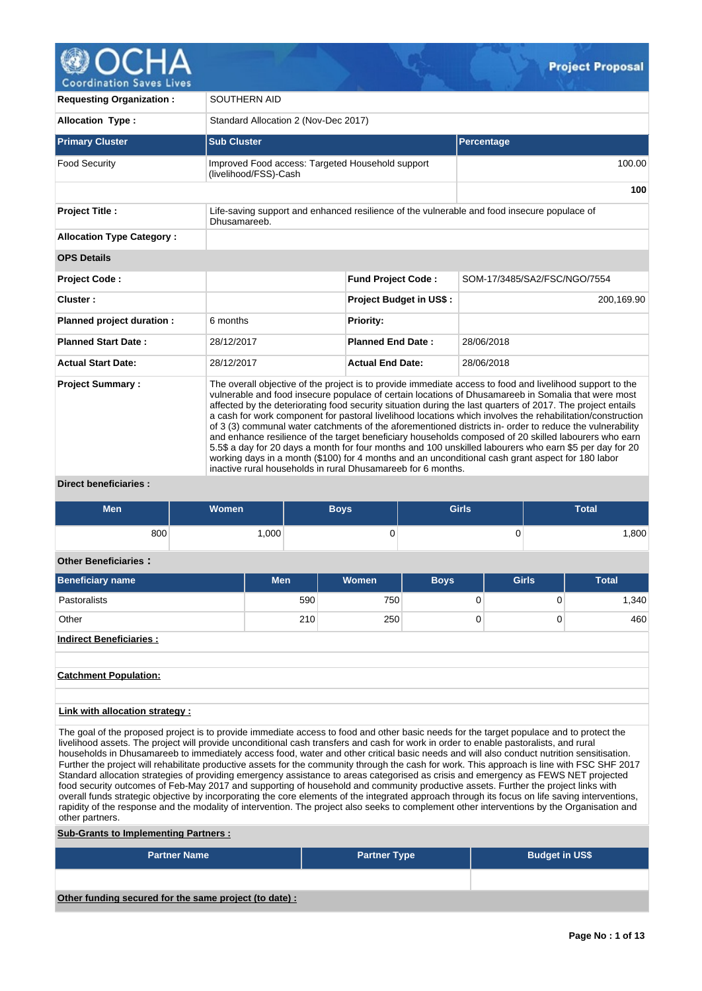

**Coordination Saves Lives** 

| <b>Requesting Organization:</b>  | SOUTHERN AID                                                                                                                                                                                                                                                                                                                                                                                                                                                                                                                                                                                                                                                                                                                                                                                                                                                                                                                                      |                                |                                                                                             |  |  |  |  |  |  |  |
|----------------------------------|---------------------------------------------------------------------------------------------------------------------------------------------------------------------------------------------------------------------------------------------------------------------------------------------------------------------------------------------------------------------------------------------------------------------------------------------------------------------------------------------------------------------------------------------------------------------------------------------------------------------------------------------------------------------------------------------------------------------------------------------------------------------------------------------------------------------------------------------------------------------------------------------------------------------------------------------------|--------------------------------|---------------------------------------------------------------------------------------------|--|--|--|--|--|--|--|
| <b>Allocation Type:</b>          | Standard Allocation 2 (Nov-Dec 2017)                                                                                                                                                                                                                                                                                                                                                                                                                                                                                                                                                                                                                                                                                                                                                                                                                                                                                                              |                                |                                                                                             |  |  |  |  |  |  |  |
| <b>Primary Cluster</b>           | <b>Sub Cluster</b>                                                                                                                                                                                                                                                                                                                                                                                                                                                                                                                                                                                                                                                                                                                                                                                                                                                                                                                                |                                | Percentage                                                                                  |  |  |  |  |  |  |  |
| <b>Food Security</b>             | Improved Food access: Targeted Household support<br>(livelihood/FSS)-Cash                                                                                                                                                                                                                                                                                                                                                                                                                                                                                                                                                                                                                                                                                                                                                                                                                                                                         |                                | 100.00                                                                                      |  |  |  |  |  |  |  |
|                                  |                                                                                                                                                                                                                                                                                                                                                                                                                                                                                                                                                                                                                                                                                                                                                                                                                                                                                                                                                   |                                | 100                                                                                         |  |  |  |  |  |  |  |
| <b>Project Title:</b>            | Dhusamareeb.                                                                                                                                                                                                                                                                                                                                                                                                                                                                                                                                                                                                                                                                                                                                                                                                                                                                                                                                      |                                | Life-saving support and enhanced resilience of the vulnerable and food insecure populace of |  |  |  |  |  |  |  |
| <b>Allocation Type Category:</b> |                                                                                                                                                                                                                                                                                                                                                                                                                                                                                                                                                                                                                                                                                                                                                                                                                                                                                                                                                   |                                |                                                                                             |  |  |  |  |  |  |  |
| <b>OPS Details</b>               |                                                                                                                                                                                                                                                                                                                                                                                                                                                                                                                                                                                                                                                                                                                                                                                                                                                                                                                                                   |                                |                                                                                             |  |  |  |  |  |  |  |
| <b>Project Code:</b>             |                                                                                                                                                                                                                                                                                                                                                                                                                                                                                                                                                                                                                                                                                                                                                                                                                                                                                                                                                   | <b>Fund Project Code:</b>      | SOM-17/3485/SA2/FSC/NGO/7554                                                                |  |  |  |  |  |  |  |
| Cluster:                         |                                                                                                                                                                                                                                                                                                                                                                                                                                                                                                                                                                                                                                                                                                                                                                                                                                                                                                                                                   | <b>Project Budget in US\$:</b> | 200,169.90                                                                                  |  |  |  |  |  |  |  |
| Planned project duration :       | 6 months                                                                                                                                                                                                                                                                                                                                                                                                                                                                                                                                                                                                                                                                                                                                                                                                                                                                                                                                          | <b>Priority:</b>               |                                                                                             |  |  |  |  |  |  |  |
| <b>Planned Start Date:</b>       | 28/12/2017                                                                                                                                                                                                                                                                                                                                                                                                                                                                                                                                                                                                                                                                                                                                                                                                                                                                                                                                        | <b>Planned End Date:</b>       | 28/06/2018                                                                                  |  |  |  |  |  |  |  |
| <b>Actual Start Date:</b>        | 28/12/2017                                                                                                                                                                                                                                                                                                                                                                                                                                                                                                                                                                                                                                                                                                                                                                                                                                                                                                                                        | <b>Actual End Date:</b>        | 28/06/2018                                                                                  |  |  |  |  |  |  |  |
| <b>Project Summary:</b>          | The overall objective of the project is to provide immediate access to food and livelihood support to the<br>vulnerable and food insecure populace of certain locations of Dhusamareeb in Somalia that were most<br>affected by the deteriorating food security situation during the last quarters of 2017. The project entails<br>a cash for work component for pastoral livelihood locations which involves the rehabilitation/construction<br>of 3 (3) communal water catchments of the aforementioned districts in-order to reduce the vulnerability<br>and enhance resilience of the target beneficiary households composed of 20 skilled labourers who earn<br>5.5\$ a day for 20 days a month for four months and 100 unskilled labourers who earn \$5 per day for 20<br>working days in a month (\$100) for 4 months and an unconditional cash grant aspect for 180 labor<br>inactive rural households in rural Dhusamareeb for 6 months. |                                |                                                                                             |  |  |  |  |  |  |  |

**Direct beneficiaries :**

| <b>Men</b> | <b>Women</b> | Boys | <b>Girls</b> | <b>Total</b> |
|------------|--------------|------|--------------|--------------|
| 800        | ,000         | ັ    | ັ            | ,800         |

# **Other Beneficiaries :**

| <b>Men</b> | <b>Women</b> | <b>Boys</b> | <b>Girls</b> | Total |
|------------|--------------|-------------|--------------|-------|
| 590        |              |             |              | 1,340 |
| 210        | 250          |             | U            | 460   |
|            |              |             | 750          |       |

# **Indirect Beneficiaries :**

**Catchment Population:**

# **Link with allocation strategy :**

The goal of the proposed project is to provide immediate access to food and other basic needs for the target populace and to protect the livelihood assets. The project will provide unconditional cash transfers and cash for work in order to enable pastoralists, and rural households in Dhusamareeb to immediately access food, water and other critical basic needs and will also conduct nutrition sensitisation. Further the project will rehabilitate productive assets for the community through the cash for work. This approach is line with FSC SHF 2017 Standard allocation strategies of providing emergency assistance to areas categorised as crisis and emergency as FEWS NET projected food security outcomes of Feb-May 2017 and supporting of household and community productive assets. Further the project links with overall funds strategic objective by incorporating the core elements of the integrated approach through its focus on life saving interventions, rapidity of the response and the modality of intervention. The project also seeks to complement other interventions by the Organisation and other partners.

# **Sub-Grants to Implementing Partners :**

| <b>Partner Name</b>                                   | <b>Partner Type</b> | <b>Budget in US\$</b> |
|-------------------------------------------------------|---------------------|-----------------------|
|                                                       |                     |                       |
| Other funding secured for the same project (to date): |                     |                       |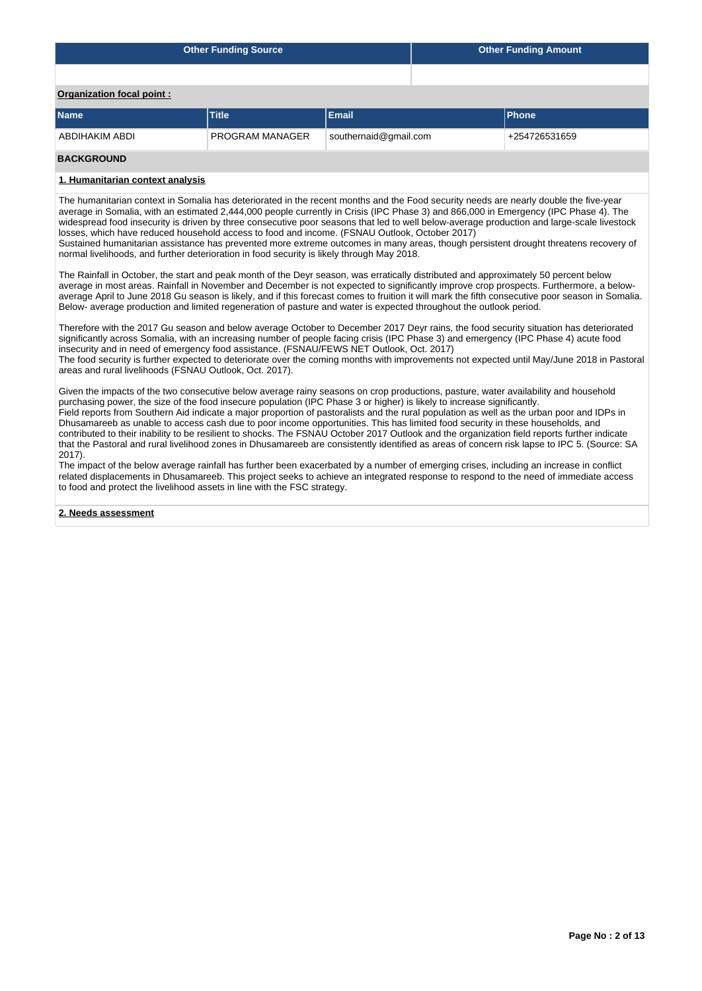|                                  | <b>Other Funding Source</b> | <b>Other Funding Amount</b> |               |
|----------------------------------|-----------------------------|-----------------------------|---------------|
|                                  |                             |                             |               |
| <b>Organization focal point:</b> |                             |                             |               |
| <b>Name</b>                      | <b>Title</b>                | <b>Email</b>                | <b>Phone</b>  |
| ABDIHAKIM ABDI                   | <b>PROGRAM MANAGER</b>      | southernaid@gmail.com       | +254726531659 |

# **BACKGROUND**

# **1. Humanitarian context analysis**

The humanitarian context in Somalia has deteriorated in the recent months and the Food security needs are nearly double the five-year average in Somalia, with an estimated 2,444,000 people currently in Crisis (IPC Phase 3) and 866,000 in Emergency (IPC Phase 4). The widespread food insecurity is driven by three consecutive poor seasons that led to well below-average production and large-scale livestock losses, which have reduced household access to food and income. (FSNAU Outlook, October 2017)

Sustained humanitarian assistance has prevented more extreme outcomes in many areas, though persistent drought threatens recovery of normal livelihoods, and further deterioration in food security is likely through May 2018.

The Rainfall in October, the start and peak month of the Deyr season, was erratically distributed and approximately 50 percent below average in most areas. Rainfall in November and December is not expected to significantly improve crop prospects. Furthermore, a belowaverage April to June 2018 Gu season is likely, and if this forecast comes to fruition it will mark the fifth consecutive poor season in Somalia. Below- average production and limited regeneration of pasture and water is expected throughout the outlook period.

Therefore with the 2017 Gu season and below average October to December 2017 Deyr rains, the food security situation has deteriorated significantly across Somalia, with an increasing number of people facing crisis (IPC Phase 3) and emergency (IPC Phase 4) acute food insecurity and in need of emergency food assistance. (FSNAU/FEWS NET Outlook, Oct. 2017)

The food security is further expected to deteriorate over the coming months with improvements not expected until May/June 2018 in Pastoral areas and rural livelihoods (FSNAU Outlook, Oct. 2017).

Given the impacts of the two consecutive below average rainy seasons on crop productions, pasture, water availability and household purchasing power, the size of the food insecure population (IPC Phase 3 or higher) is likely to increase significantly. Field reports from Southern Aid indicate a major proportion of pastoralists and the rural population as well as the urban poor and IDPs in Dhusamareeb as unable to access cash due to poor income opportunities. This has limited food security in these households, and contributed to their inability to be resilient to shocks. The FSNAU October 2017 Outlook and the organization field reports further indicate that the Pastoral and rural livelihood zones in Dhusamareeb are consistently identified as areas of concern risk lapse to IPC 5. (Source: SA 2017).

The impact of the below average rainfall has further been exacerbated by a number of emerging crises, including an increase in conflict related displacements in Dhusamareeb. This project seeks to achieve an integrated response to respond to the need of immediate access to food and protect the livelihood assets in line with the FSC strategy.

**2. Needs assessment**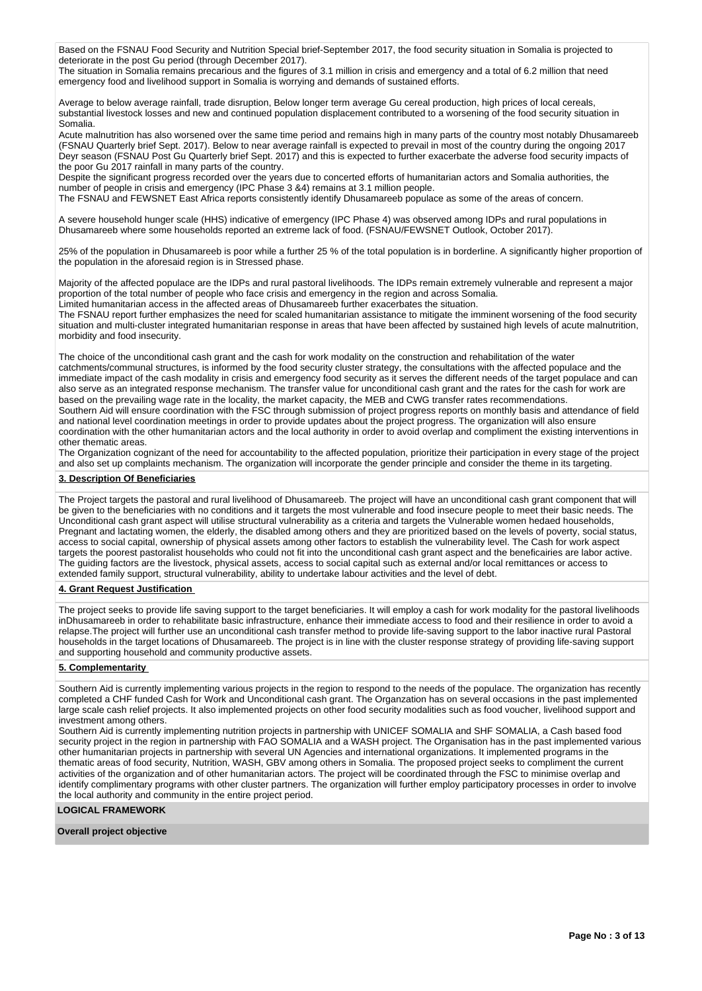Based on the FSNAU Food Security and Nutrition Special brief-September 2017, the food security situation in Somalia is projected to deteriorate in the post Gu period (through December 2017).

The situation in Somalia remains precarious and the figures of 3.1 million in crisis and emergency and a total of 6.2 million that need emergency food and livelihood support in Somalia is worrying and demands of sustained efforts.

Average to below average rainfall, trade disruption, Below longer term average Gu cereal production, high prices of local cereals, substantial livestock losses and new and continued population displacement contributed to a worsening of the food security situation in Somalia.

Acute malnutrition has also worsened over the same time period and remains high in many parts of the country most notably Dhusamareeb (FSNAU Quarterly brief Sept. 2017). Below to near average rainfall is expected to prevail in most of the country during the ongoing 2017 Deyr season (FSNAU Post Gu Quarterly brief Sept. 2017) and this is expected to further exacerbate the adverse food security impacts of the poor Gu 2017 rainfall in many parts of the country.

Despite the significant progress recorded over the years due to concerted efforts of humanitarian actors and Somalia authorities, the number of people in crisis and emergency (IPC Phase 3 &4) remains at 3.1 million people.

The FSNAU and FEWSNET East Africa reports consistently identify Dhusamareeb populace as some of the areas of concern.

A severe household hunger scale (HHS) indicative of emergency (IPC Phase 4) was observed among IDPs and rural populations in Dhusamareeb where some households reported an extreme lack of food. (FSNAU/FEWSNET Outlook, October 2017).

25% of the population in Dhusamareeb is poor while a further 25 % of the total population is in borderline. A significantly higher proportion of the population in the aforesaid region is in Stressed phase.

Majority of the affected populace are the IDPs and rural pastoral livelihoods. The IDPs remain extremely vulnerable and represent a major proportion of the total number of people who face crisis and emergency in the region and across Somalia.

Limited humanitarian access in the affected areas of Dhusamareeb further exacerbates the situation.

The FSNAU report further emphasizes the need for scaled humanitarian assistance to mitigate the imminent worsening of the food security situation and multi-cluster integrated humanitarian response in areas that have been affected by sustained high levels of acute malnutrition, morbidity and food insecurity.

The choice of the unconditional cash grant and the cash for work modality on the construction and rehabilitation of the water catchments/communal structures, is informed by the food security cluster strategy, the consultations with the affected populace and the immediate impact of the cash modality in crisis and emergency food security as it serves the different needs of the target populace and can also serve as an integrated response mechanism. The transfer value for unconditional cash grant and the rates for the cash for work are based on the prevailing wage rate in the locality, the market capacity, the MEB and CWG transfer rates recommendations.

Southern Aid will ensure coordination with the FSC through submission of project progress reports on monthly basis and attendance of field and national level coordination meetings in order to provide updates about the project progress. The organization will also ensure coordination with the other humanitarian actors and the local authority in order to avoid overlap and compliment the existing interventions in other thematic areas.

The Organization cognizant of the need for accountability to the affected population, prioritize their participation in every stage of the project and also set up complaints mechanism. The organization will incorporate the gender principle and consider the theme in its targeting.

# **3. Description Of Beneficiaries**

The Project targets the pastoral and rural livelihood of Dhusamareeb. The project will have an unconditional cash grant component that will be given to the beneficiaries with no conditions and it targets the most vulnerable and food insecure people to meet their basic needs. The Unconditional cash grant aspect will utilise structural vulnerability as a criteria and targets the Vulnerable women hedaed households, Pregnant and lactating women, the elderly, the disabled among others and they are prioritized based on the levels of poverty, social status, access to social capital, ownership of physical assets among other factors to establish the vulnerability level. The Cash for work aspect targets the poorest pastoralist households who could not fit into the unconditional cash grant aspect and the beneficairies are labor active. The guiding factors are the livestock, physical assets, access to social capital such as external and/or local remittances or access to extended family support, structural vulnerability, ability to undertake labour activities and the level of debt.

# **4. Grant Request Justification**

The project seeks to provide life saving support to the target beneficiaries. It will employ a cash for work modality for the pastoral livelihoods inDhusamareeb in order to rehabilitate basic infrastructure, enhance their immediate access to food and their resilience in order to avoid a relapse.The project will further use an unconditional cash transfer method to provide life-saving support to the labor inactive rural Pastoral households in the target locations of Dhusamareeb. The project is in line with the cluster response strategy of providing life-saving support and supporting household and community productive assets.

# **5. Complementarity**

Southern Aid is currently implementing various projects in the region to respond to the needs of the populace. The organization has recently completed a CHF funded Cash for Work and Unconditional cash grant. The Organzation has on several occasions in the past implemented large scale cash relief projects. It also implemented projects on other food security modalities such as food voucher, livelihood support and investment among others.

Southern Aid is currently implementing nutrition projects in partnership with UNICEF SOMALIA and SHF SOMALIA, a Cash based food security project in the region in partnership with FAO SOMALIA and a WASH project. The Organisation has in the past implemented various other humanitarian projects in partnership with several UN Agencies and international organizations. It implemented programs in the thematic areas of food security, Nutrition, WASH, GBV among others in Somalia. The proposed project seeks to compliment the current activities of the organization and of other humanitarian actors. The project will be coordinated through the FSC to minimise overlap and identify complimentary programs with other cluster partners. The organization will further employ participatory processes in order to involve the local authority and community in the entire project period.

# **LOGICAL FRAMEWORK**

**Overall project objective**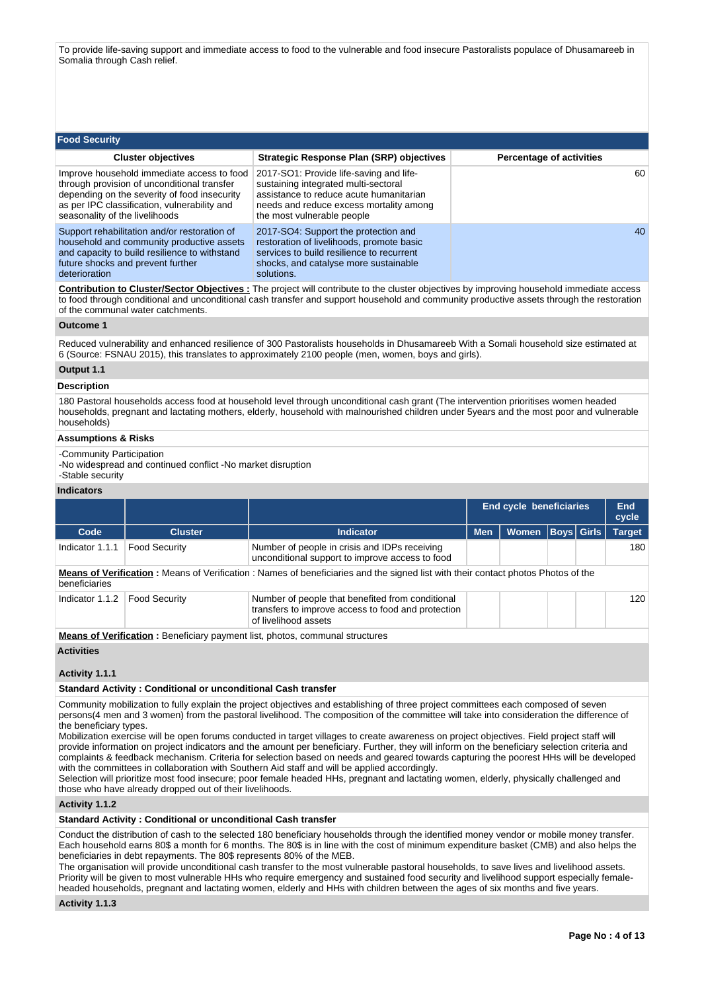To provide life-saving support and immediate access to food to the vulnerable and food insecure Pastoralists populace of Dhusamareeb in Somalia through Cash relief.

| <b>Food Security</b>                                                                                                                                                                                                        |                                                                                                                                                                                                     |                                 |
|-----------------------------------------------------------------------------------------------------------------------------------------------------------------------------------------------------------------------------|-----------------------------------------------------------------------------------------------------------------------------------------------------------------------------------------------------|---------------------------------|
| <b>Cluster objectives</b>                                                                                                                                                                                                   | Strategic Response Plan (SRP) objectives                                                                                                                                                            | <b>Percentage of activities</b> |
| Improve household immediate access to food<br>through provision of unconditional transfer<br>depending on the severity of food insecurity<br>as per IPC classification, vulnerability and<br>seasonality of the livelihoods | 2017-SO1: Provide life-saving and life-<br>sustaining integrated multi-sectoral<br>assistance to reduce acute humanitarian<br>needs and reduce excess mortality among<br>the most vulnerable people | 60                              |
| Support rehabilitation and/or restoration of<br>household and community productive assets<br>and capacity to build resilience to withstand<br>future shocks and prevent further<br>deterioration                            | 2017-SO4: Support the protection and<br>restoration of livelihoods, promote basic<br>services to build resilience to recurrent<br>shocks, and catalyse more sustainable<br>solutions.               | 40                              |

**Contribution to Cluster/Sector Objectives :** The project will contribute to the cluster objectives by improving household immediate access to food through conditional and unconditional cash transfer and support household and community productive assets through the restoration of the communal water catchments.

# **Outcome 1**

Reduced vulnerability and enhanced resilience of 300 Pastoralists households in Dhusamareeb With a Somali household size estimated at 6 (Source: FSNAU 2015), this translates to approximately 2100 people (men, women, boys and girls).

# **Output 1.1**

# **Description**

180 Pastoral households access food at household level through unconditional cash grant (The intervention prioritises women headed households, pregnant and lactating mothers, elderly, household with malnourished children under 5years and the most poor and vulnerable households)

## **Assumptions & Risks**

-Community Participation

-No widespread and continued conflict -No market disruption -Stable security

# **Indicators**

| iliulualui a    |                                                                                                                                                        |                                                                                                                                         |                                |              |  |             |               |
|-----------------|--------------------------------------------------------------------------------------------------------------------------------------------------------|-----------------------------------------------------------------------------------------------------------------------------------------|--------------------------------|--------------|--|-------------|---------------|
|                 |                                                                                                                                                        |                                                                                                                                         | <b>End cycle beneficiaries</b> |              |  |             | End<br>cycle  |
| Code            | <b>Cluster</b>                                                                                                                                         | <b>Indicator</b>                                                                                                                        | <b>Men</b>                     | <b>Women</b> |  | Boys  Girls | <b>Target</b> |
| Indicator 1.1.1 | <b>Food Security</b>                                                                                                                                   | Number of people in crisis and IDPs receiving<br>unconditional support to improve access to food                                        |                                |              |  |             | 180           |
| beneficiaries   |                                                                                                                                                        | <b>Means of Verification:</b> Means of Verification: Names of beneficiaries and the signed list with their contact photos Photos of the |                                |              |  |             |               |
| Indicator 1.1.2 | <b>Food Security</b><br>Number of people that benefited from conditional<br>transfers to improve access to food and protection<br>of livelihood assets |                                                                                                                                         |                                |              |  |             | 120           |
|                 |                                                                                                                                                        |                                                                                                                                         |                                |              |  |             |               |

**Means of Verification :** Beneficiary payment list, photos, communal structures

## **Activities**

# **Activity 1.1.1**

#### **Standard Activity : Conditional or unconditional Cash transfer**

Community mobilization to fully explain the project objectives and establishing of three project committees each composed of seven persons(4 men and 3 women) from the pastoral livelihood. The composition of the committee will take into consideration the difference of the beneficiary types.

Mobilization exercise will be open forums conducted in target villages to create awareness on project objectives. Field project staff will provide information on project indicators and the amount per beneficiary. Further, they will inform on the beneficiary selection criteria and complaints & feedback mechanism. Criteria for selection based on needs and geared towards capturing the poorest HHs will be developed with the committees in collaboration with Southern Aid staff and will be applied accordingly.

Selection will prioritize most food insecure; poor female headed HHs, pregnant and lactating women, elderly, physically challenged and those who have already dropped out of their livelihoods.

#### **Activity 1.1.2**

# **Standard Activity : Conditional or unconditional Cash transfer**

Conduct the distribution of cash to the selected 180 beneficiary households through the identified money vendor or mobile money transfer. Each household earns 80\$ a month for 6 months. The 80\$ is in line with the cost of minimum expenditure basket (CMB) and also helps the beneficiaries in debt repayments. The 80\$ represents 80% of the MEB.

The organisation will provide unconditional cash transfer to the most vulnerable pastoral households, to save lives and livelihood assets. Priority will be given to most vulnerable HHs who require emergency and sustained food security and livelihood support especially femaleheaded households, pregnant and lactating women, elderly and HHs with children between the ages of six months and five years.

**Activity 1.1.3**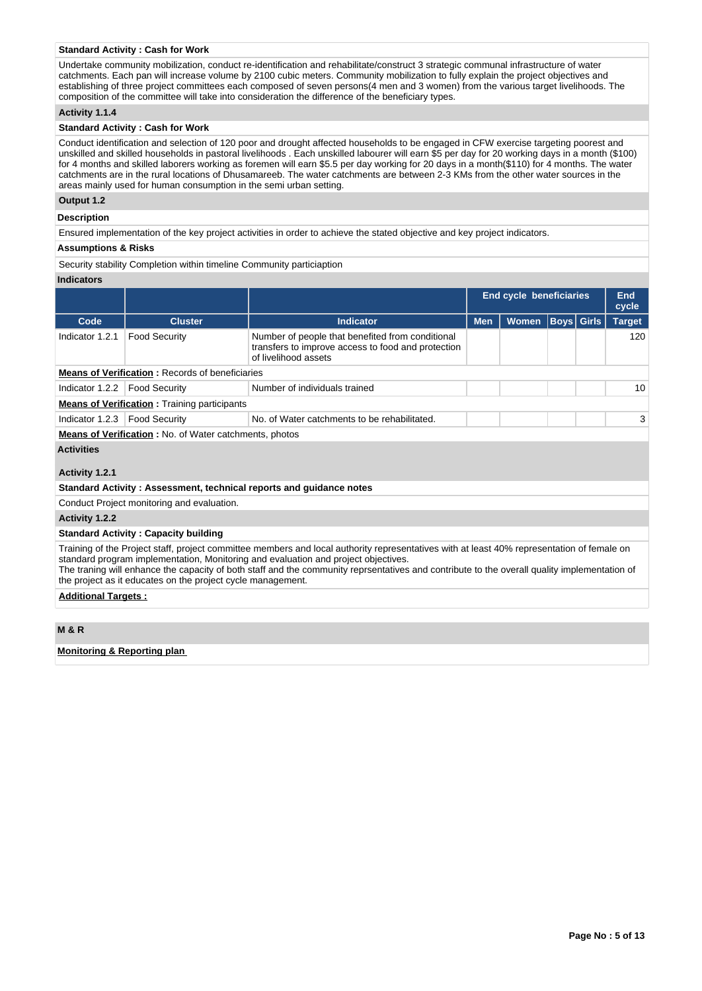# **Standard Activity : Cash for Work**

Undertake community mobilization, conduct re-identification and rehabilitate/construct 3 strategic communal infrastructure of water catchments. Each pan will increase volume by 2100 cubic meters. Community mobilization to fully explain the project objectives and establishing of three project committees each composed of seven persons(4 men and 3 women) from the various target livelihoods. The composition of the committee will take into consideration the difference of the beneficiary types.

# **Activity 1.1.4**

## **Standard Activity : Cash for Work**

Conduct identification and selection of 120 poor and drought affected households to be engaged in CFW exercise targeting poorest and unskilled and skilled households in pastoral livelihoods . Each unskilled labourer will earn \$5 per day for 20 working days in a month (\$100) for 4 months and skilled laborers working as foremen will earn \$5.5 per day working for 20 days in a month(\$110) for 4 months. The water catchments are in the rural locations of Dhusamareeb. The water catchments are between 2-3 KMs from the other water sources in the areas mainly used for human consumption in the semi urban setting.

## **Output 1.2**

#### **Description**

Ensured implementation of the key project activities in order to achieve the stated objective and key project indicators.

#### **Assumptions & Risks**

Security stability Completion within timeline Community particiaption

# **Indicators**

|                                     |                                                               |                                                                                                                                | <b>End cycle beneficiaries</b> |                                   |  |  | End<br>cycle  |  |  |  |
|-------------------------------------|---------------------------------------------------------------|--------------------------------------------------------------------------------------------------------------------------------|--------------------------------|-----------------------------------|--|--|---------------|--|--|--|
| Code                                | <b>Cluster</b>                                                | <b>Indicator</b>                                                                                                               | <b>Men</b>                     | <b>Boys</b> Girls<br><b>Women</b> |  |  | <b>Target</b> |  |  |  |
| Indicator 1.2.1                     | <b>Food Security</b>                                          | Number of people that benefited from conditional<br>transfers to improve access to food and protection<br>of livelihood assets |                                |                                   |  |  | 120           |  |  |  |
|                                     | <b>Means of Verification: Records of beneficiaries</b>        |                                                                                                                                |                                |                                   |  |  |               |  |  |  |
| Indicator 1.2.2                     | <b>Food Security</b>                                          | Number of individuals trained                                                                                                  |                                |                                   |  |  | 10            |  |  |  |
|                                     | <b>Means of Verification:</b> Training participants           |                                                                                                                                |                                |                                   |  |  |               |  |  |  |
| Indicator 1.2.3                     | <b>Food Security</b>                                          | No. of Water catchments to be rehabilitated.                                                                                   |                                |                                   |  |  | 3             |  |  |  |
|                                     | <b>Means of Verification:</b> No. of Water catchments, photos |                                                                                                                                |                                |                                   |  |  |               |  |  |  |
| <b>Activities</b><br>Activity 1.2.1 |                                                               |                                                                                                                                |                                |                                   |  |  |               |  |  |  |
|                                     |                                                               | Standard Activity: Assessment, technical reports and guidance notes                                                            |                                |                                   |  |  |               |  |  |  |
|                                     |                                                               |                                                                                                                                |                                |                                   |  |  |               |  |  |  |
|                                     | Conduct Project monitoring and evaluation.                    |                                                                                                                                |                                |                                   |  |  |               |  |  |  |
| Activity 1.2.2                      |                                                               |                                                                                                                                |                                |                                   |  |  |               |  |  |  |

**Standard Activity : Capacity building**

Training of the Project staff, project committee members and local authority representatives with at least 40% representation of female on standard program implementation, Monitoring and evaluation and project objectives.

The traning will enhance the capacity of both staff and the community reprsentatives and contribute to the overall quality implementation of the project as it educates on the project cycle management.

#### **Additional Targets :**

# **M & R**

# **Monitoring & Reporting plan**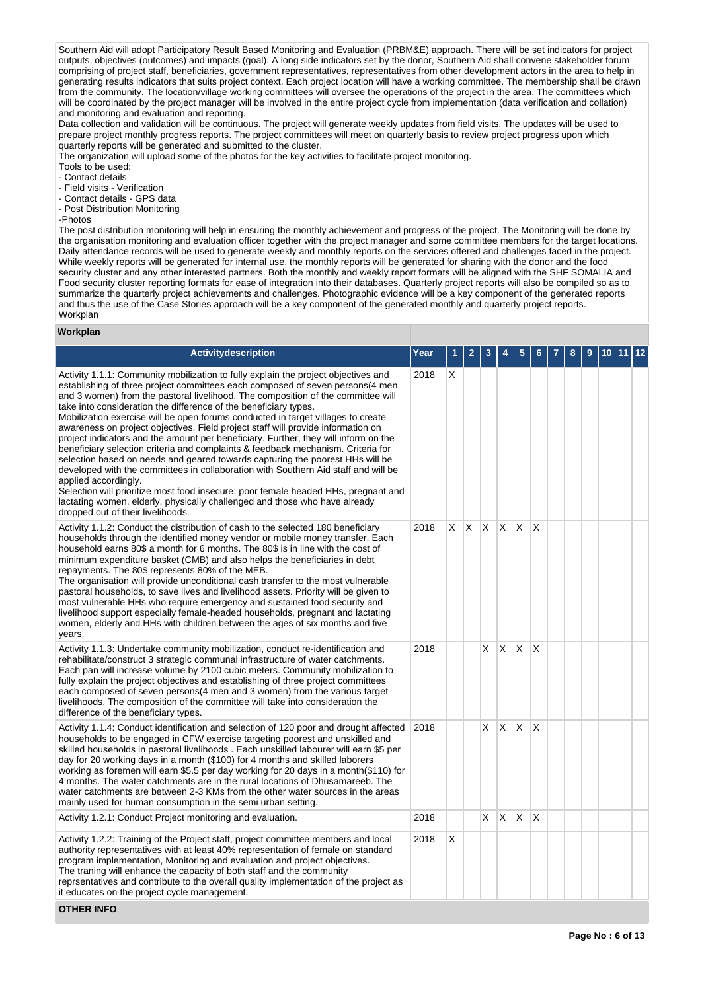Southern Aid will adopt Participatory Result Based Monitoring and Evaluation (PRBM&E) approach. There will be set indicators for project outputs, objectives (outcomes) and impacts (goal). A long side indicators set by the donor, Southern Aid shall convene stakeholder forum comprising of project staff, beneficiaries, government representatives, representatives from other development actors in the area to help in generating results indicators that suits project context. Each project location will have a working committee. The membership shall be drawn from the community. The location/village working committees will oversee the operations of the project in the area. The committees which will be coordinated by the project manager will be involved in the entire project cycle from implementation (data verification and collation) and monitoring and evaluation and reporting.

Data collection and validation will be continuous. The project will generate weekly updates from field visits. The updates will be used to prepare project monthly progress reports. The project committees will meet on quarterly basis to review project progress upon which quarterly reports will be generated and submitted to the cluster.

The organization will upload some of the photos for the key activities to facilitate project monitoring.

Tools to be used:

- Contact details

- Field visits Verification
- Contact details GPS data - Post Distribution Monitoring
- -Photos

The post distribution monitoring will help in ensuring the monthly achievement and progress of the project. The Monitoring will be done by the organisation monitoring and evaluation officer together with the project manager and some committee members for the target locations. Daily attendance records will be used to generate weekly and monthly reports on the services offered and challenges faced in the project. While weekly reports will be generated for internal use, the monthly reports will be generated for sharing with the donor and the food security cluster and any other interested partners. Both the monthly and weekly report formats will be aligned with the SHF SOMALIA and Food security cluster reporting formats for ease of integration into their databases. Quarterly project reports will also be compiled so as to summarize the quarterly project achievements and challenges. Photographic evidence will be a key component of the generated reports and thus the use of the Case Stories approach will be a key component of the generated monthly and quarterly project reports. Workplan

# **Workplan**

| <b>Activitydescription</b>                                                                                                                                                                                                                                                                                                                                                                                                                                                                                                                                                                                                                                                                                                                                                                                                                                                                                                                                                                                                                                                              | Year |    |    |              |              |              |                 |  |  |  |
|-----------------------------------------------------------------------------------------------------------------------------------------------------------------------------------------------------------------------------------------------------------------------------------------------------------------------------------------------------------------------------------------------------------------------------------------------------------------------------------------------------------------------------------------------------------------------------------------------------------------------------------------------------------------------------------------------------------------------------------------------------------------------------------------------------------------------------------------------------------------------------------------------------------------------------------------------------------------------------------------------------------------------------------------------------------------------------------------|------|----|----|--------------|--------------|--------------|-----------------|--|--|--|
| Activity 1.1.1: Community mobilization to fully explain the project objectives and<br>establishing of three project committees each composed of seven persons (4 men<br>and 3 women) from the pastoral livelihood. The composition of the committee will<br>take into consideration the difference of the beneficiary types.<br>Mobilization exercise will be open forums conducted in target villages to create<br>awareness on project objectives. Field project staff will provide information on<br>project indicators and the amount per beneficiary. Further, they will inform on the<br>beneficiary selection criteria and complaints & feedback mechanism. Criteria for<br>selection based on needs and geared towards capturing the poorest HHs will be<br>developed with the committees in collaboration with Southern Aid staff and will be<br>applied accordingly.<br>Selection will prioritize most food insecure; poor female headed HHs, pregnant and<br>lactating women, elderly, physically challenged and those who have already<br>dropped out of their livelihoods. | 2018 | Х  |    |              |              |              |                 |  |  |  |
| Activity 1.1.2: Conduct the distribution of cash to the selected 180 beneficiary<br>households through the identified money vendor or mobile money transfer. Each<br>household earns 80\$ a month for 6 months. The 80\$ is in line with the cost of<br>minimum expenditure basket (CMB) and also helps the beneficiaries in debt<br>repayments. The 80\$ represents 80% of the MEB.<br>The organisation will provide unconditional cash transfer to the most vulnerable<br>pastoral households, to save lives and livelihood assets. Priority will be given to<br>most vulnerable HHs who require emergency and sustained food security and<br>livelihood support especially female-headed households, pregnant and lactating<br>women, elderly and HHs with children between the ages of six months and five<br>years.                                                                                                                                                                                                                                                                | 2018 | X. | X. | $\mathsf{X}$ | $\mathsf{X}$ | $\times$     | X               |  |  |  |
| Activity 1.1.3: Undertake community mobilization, conduct re-identification and<br>rehabilitate/construct 3 strategic communal infrastructure of water catchments.<br>Each pan will increase volume by 2100 cubic meters. Community mobilization to<br>fully explain the project objectives and establishing of three project committees<br>each composed of seven persons(4 men and 3 women) from the various target<br>livelihoods. The composition of the committee will take into consideration the<br>difference of the beneficiary types.                                                                                                                                                                                                                                                                                                                                                                                                                                                                                                                                         | 2018 |    |    | X            | ΙX.          | X            | $\mathsf{\chi}$ |  |  |  |
| Activity 1.1.4: Conduct identification and selection of 120 poor and drought affected<br>households to be engaged in CFW exercise targeting poorest and unskilled and<br>skilled households in pastoral livelihoods. Each unskilled labourer will earn \$5 per<br>day for 20 working days in a month (\$100) for 4 months and skilled laborers<br>working as foremen will earn \$5.5 per day working for 20 days in a month(\$110) for<br>4 months. The water catchments are in the rural locations of Dhusamareeb. The<br>water catchments are between 2-3 KMs from the other water sources in the areas<br>mainly used for human consumption in the semi urban setting.                                                                                                                                                                                                                                                                                                                                                                                                               | 2018 |    |    | X            | IX.          | $\times$     | $\times$        |  |  |  |
| Activity 1.2.1: Conduct Project monitoring and evaluation.                                                                                                                                                                                                                                                                                                                                                                                                                                                                                                                                                                                                                                                                                                                                                                                                                                                                                                                                                                                                                              | 2018 |    |    | X            | X.           | $\mathsf{x}$ | X               |  |  |  |
| Activity 1.2.2: Training of the Project staff, project committee members and local<br>authority representatives with at least 40% representation of female on standard<br>program implementation, Monitoring and evaluation and project objectives.<br>The traning will enhance the capacity of both staff and the community<br>reprsentatives and contribute to the overall quality implementation of the project as<br>it educates on the project cycle management.                                                                                                                                                                                                                                                                                                                                                                                                                                                                                                                                                                                                                   | 2018 | Х  |    |              |              |              |                 |  |  |  |

**OTHER INFO**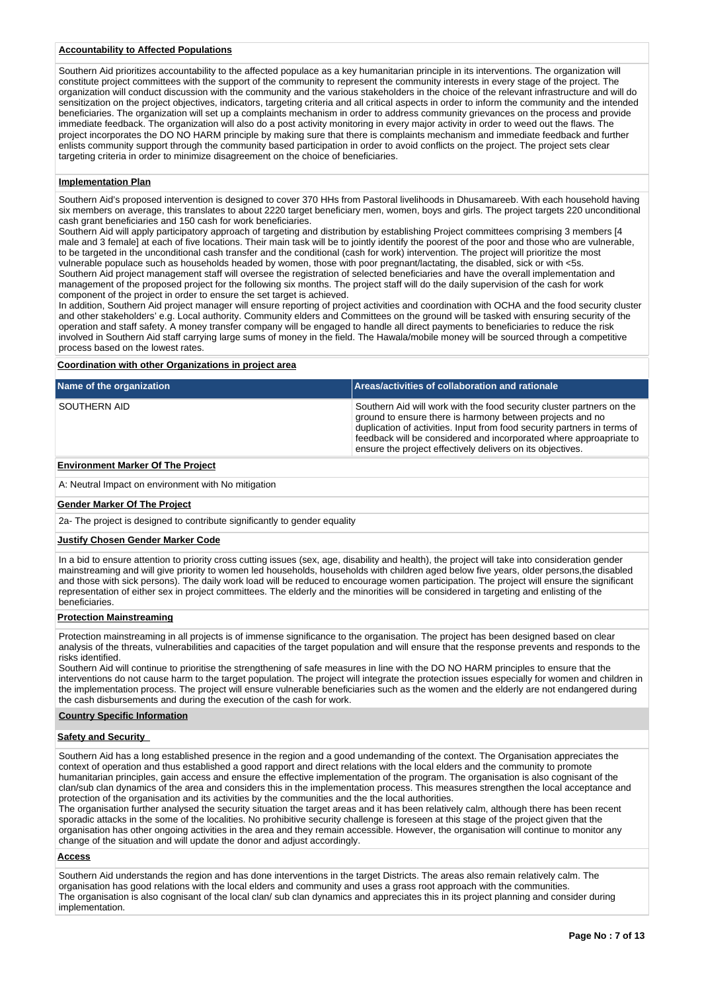# **Accountability to Affected Populations**

Southern Aid prioritizes accountability to the affected populace as a key humanitarian principle in its interventions. The organization will constitute project committees with the support of the community to represent the community interests in every stage of the project. The organization will conduct discussion with the community and the various stakeholders in the choice of the relevant infrastructure and will do sensitization on the project objectives, indicators, targeting criteria and all critical aspects in order to inform the community and the intended beneficiaries. The organization will set up a complaints mechanism in order to address community grievances on the process and provide immediate feedback. The organization will also do a post activity monitoring in every major activity in order to weed out the flaws. The project incorporates the DO NO HARM principle by making sure that there is complaints mechanism and immediate feedback and further enlists community support through the community based participation in order to avoid conflicts on the project. The project sets clear targeting criteria in order to minimize disagreement on the choice of beneficiaries.

# **Implementation Plan**

Southern Aid's proposed intervention is designed to cover 370 HHs from Pastoral livelihoods in Dhusamareeb. With each household having six members on average, this translates to about 2220 target beneficiary men, women, boys and girls. The project targets 220 unconditional cash grant beneficiaries and 150 cash for work beneficiaries.

Southern Aid will apply participatory approach of targeting and distribution by establishing Project committees comprising 3 members [4 male and 3 female] at each of five locations. Their main task will be to jointly identify the poorest of the poor and those who are vulnerable, to be targeted in the unconditional cash transfer and the conditional (cash for work) intervention. The project will prioritize the most vulnerable populace such as households headed by women, those with poor pregnant/lactating, the disabled, sick or with <5s. Southern Aid project management staff will oversee the registration of selected beneficiaries and have the overall implementation and management of the proposed project for the following six months. The project staff will do the daily supervision of the cash for work component of the project in order to ensure the set target is achieved.

In addition, Southern Aid project manager will ensure reporting of project activities and coordination with OCHA and the food security cluster and other stakeholders' e.g. Local authority. Community elders and Committees on the ground will be tasked with ensuring security of the operation and staff safety. A money transfer company will be engaged to handle all direct payments to beneficiaries to reduce the risk involved in Southern Aid staff carrying large sums of money in the field. The Hawala/mobile money will be sourced through a competitive process based on the lowest rates.

#### **Coordination with other Organizations in project area**

| Name of the organization | Areas/activities of collaboration and rationale                                                                                                                                                                                                                                                                                                    |
|--------------------------|----------------------------------------------------------------------------------------------------------------------------------------------------------------------------------------------------------------------------------------------------------------------------------------------------------------------------------------------------|
| SOUTHERN AID             | Southern Aid will work with the food security cluster partners on the<br>ground to ensure there is harmony between projects and no<br>duplication of activities. Input from food security partners in terms of<br>feedback will be considered and incorporated where approapriate to<br>ensure the project effectively delivers on its objectives. |

# **Environment Marker Of The Project**

A: Neutral Impact on environment with No mitigation

#### **Gender Marker Of The Project**

2a- The project is designed to contribute significantly to gender equality

#### **Justify Chosen Gender Marker Code**

In a bid to ensure attention to priority cross cutting issues (sex, age, disability and health), the project will take into consideration gender mainstreaming and will give priority to women led households, households with children aged below five years, older persons,the disabled and those with sick persons). The daily work load will be reduced to encourage women participation. The project will ensure the significant representation of either sex in project committees. The elderly and the minorities will be considered in targeting and enlisting of the beneficiaries.

# **Protection Mainstreaming**

Protection mainstreaming in all projects is of immense significance to the organisation. The project has been designed based on clear analysis of the threats, vulnerabilities and capacities of the target population and will ensure that the response prevents and responds to the risks identified.

Southern Aid will continue to prioritise the strengthening of safe measures in line with the DO NO HARM principles to ensure that the interventions do not cause harm to the target population. The project will integrate the protection issues especially for women and children in the implementation process. The project will ensure vulnerable beneficiaries such as the women and the elderly are not endangered during the cash disbursements and during the execution of the cash for work.

#### **Country Specific Information**

# **Safety and Security**

Southern Aid has a long established presence in the region and a good undemanding of the context. The Organisation appreciates the context of operation and thus established a good rapport and direct relations with the local elders and the community to promote humanitarian principles, gain access and ensure the effective implementation of the program. The organisation is also cognisant of the clan/sub clan dynamics of the area and considers this in the implementation process. This measures strengthen the local acceptance and protection of the organisation and its activities by the communities and the the local authorities.

The organisation further analysed the security situation the target areas and it has been relatively calm, although there has been recent sporadic attacks in the some of the localities. No prohibitive security challenge is foreseen at this stage of the project given that the organisation has other ongoing activities in the area and they remain accessible. However, the organisation will continue to monitor any change of the situation and will update the donor and adjust accordingly.

# **Access**

Southern Aid understands the region and has done interventions in the target Districts. The areas also remain relatively calm. The organisation has good relations with the local elders and community and uses a grass root approach with the communities. The organisation is also cognisant of the local clan/ sub clan dynamics and appreciates this in its project planning and consider during implementation.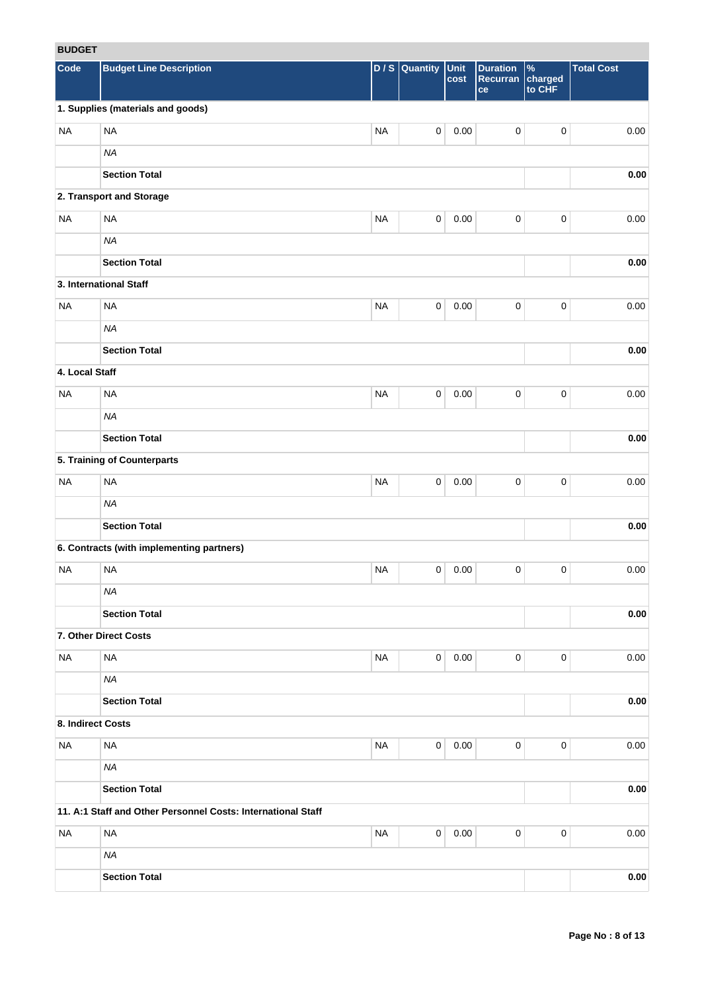# **BUDGET**

| <b>RUDGEI</b>     |                                                              |           |                     |              |                                   |                                    |                   |
|-------------------|--------------------------------------------------------------|-----------|---------------------|--------------|-----------------------------------|------------------------------------|-------------------|
| Code              | <b>Budget Line Description</b>                               |           | $D / S$ Quantity    | Unit<br>cost | <b>Duration</b><br>Recurran<br>ce | $\frac{9}{6}$<br>charged<br>to CHF | <b>Total Cost</b> |
|                   | 1. Supplies (materials and goods)                            |           |                     |              |                                   |                                    |                   |
| <b>NA</b>         | <b>NA</b>                                                    | <b>NA</b> | $\mathsf{O}\xspace$ | 0.00         | $\pmb{0}$                         | $\pmb{0}$                          | 0.00              |
|                   | <b>NA</b>                                                    |           |                     |              |                                   |                                    |                   |
|                   | <b>Section Total</b>                                         |           |                     |              |                                   |                                    | 0.00              |
|                   | 2. Transport and Storage                                     |           |                     |              |                                   |                                    |                   |
| <b>NA</b>         | <b>NA</b>                                                    | <b>NA</b> | $\mathbf 0$         | 0.00         | $\mathbf 0$                       | $\pmb{0}$                          | 0.00              |
|                   | <b>NA</b>                                                    |           |                     |              |                                   |                                    |                   |
|                   | <b>Section Total</b>                                         |           |                     |              |                                   |                                    | 0.00              |
|                   | 3. International Staff                                       |           |                     |              |                                   |                                    |                   |
| <b>NA</b>         | <b>NA</b>                                                    | <b>NA</b> | $\mathbf 0$         | 0.00         | $\mathbf 0$                       | $\pmb{0}$                          | 0.00              |
|                   | <b>NA</b>                                                    |           |                     |              |                                   |                                    |                   |
|                   | <b>Section Total</b>                                         |           |                     |              |                                   |                                    | $0.00\,$          |
| 4. Local Staff    |                                                              |           |                     |              |                                   |                                    |                   |
| <b>NA</b>         | <b>NA</b>                                                    | <b>NA</b> | $\mathbf 0$         | 0.00         | $\pmb{0}$                         | $\pmb{0}$                          | 0.00              |
|                   | <b>NA</b>                                                    |           |                     |              |                                   |                                    |                   |
|                   | <b>Section Total</b>                                         |           |                     |              |                                   |                                    | 0.00              |
|                   | 5. Training of Counterparts                                  |           |                     |              |                                   |                                    |                   |
| <b>NA</b>         | <b>NA</b>                                                    | <b>NA</b> | $\pmb{0}$           | 0.00         | $\pmb{0}$                         | 0                                  | 0.00              |
|                   | <b>NA</b>                                                    |           |                     |              |                                   |                                    |                   |
|                   | <b>Section Total</b>                                         |           |                     |              |                                   |                                    | 0.00              |
|                   | 6. Contracts (with implementing partners)                    |           |                     |              |                                   |                                    |                   |
| <b>NA</b>         | <b>NA</b>                                                    | <b>NA</b> | 0                   | 0.00         | 0                                 | 0                                  | 0.00              |
|                   | <b>NA</b>                                                    |           |                     |              |                                   |                                    |                   |
|                   | <b>Section Total</b>                                         |           |                     |              |                                   |                                    | 0.00              |
|                   | 7. Other Direct Costs                                        |           |                     |              |                                   |                                    |                   |
| <b>NA</b>         | <b>NA</b>                                                    | <b>NA</b> | $\mathbf 0$         | 0.00         | $\mathbf 0$                       | 0                                  | 0.00              |
|                   | NA                                                           |           |                     |              |                                   |                                    |                   |
|                   | <b>Section Total</b>                                         |           |                     |              |                                   |                                    | $0.00\,$          |
| 8. Indirect Costs |                                                              |           |                     |              |                                   |                                    |                   |
| <b>NA</b>         | $\sf NA$                                                     | <b>NA</b> | $\mathbf 0$         | 0.00         | $\mathbf 0$                       | 0                                  | 0.00              |
|                   | <b>NA</b>                                                    |           |                     |              |                                   |                                    |                   |
|                   | <b>Section Total</b>                                         |           |                     |              |                                   |                                    | 0.00              |
|                   | 11. A:1 Staff and Other Personnel Costs: International Staff |           |                     |              |                                   |                                    |                   |
| <b>NA</b>         | <b>NA</b>                                                    | <b>NA</b> | $\mathbf 0$         | 0.00         | $\mathbf 0$                       | 0                                  | 0.00              |
|                   | <b>NA</b>                                                    |           |                     |              |                                   |                                    |                   |
|                   | <b>Section Total</b>                                         |           |                     |              |                                   |                                    | $0.00\,$          |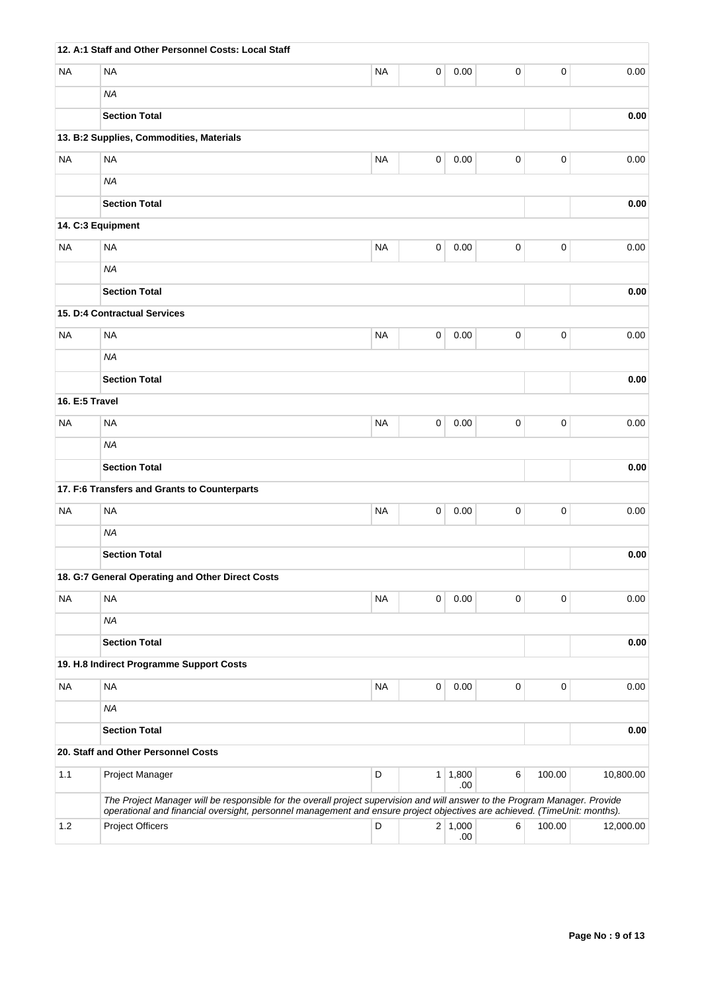|                | 12. A:1 Staff and Other Personnel Costs: Local Staff                                                                                                 |           |   |                       |   |           |           |
|----------------|------------------------------------------------------------------------------------------------------------------------------------------------------|-----------|---|-----------------------|---|-----------|-----------|
| NA             | <b>NA</b>                                                                                                                                            | <b>NA</b> | 0 | 0.00                  | 0 | 0         | 0.00      |
|                | <b>NA</b>                                                                                                                                            |           |   |                       |   |           |           |
|                | <b>Section Total</b>                                                                                                                                 |           |   |                       |   |           | 0.00      |
|                | 13. B:2 Supplies, Commodities, Materials                                                                                                             |           |   |                       |   |           |           |
| <b>NA</b>      | <b>NA</b>                                                                                                                                            | <b>NA</b> | 0 | 0.00                  | 0 | 0         | 0.00      |
|                | <b>NA</b>                                                                                                                                            |           |   |                       |   |           |           |
|                | <b>Section Total</b>                                                                                                                                 |           |   |                       |   |           | 0.00      |
|                | 14. C:3 Equipment                                                                                                                                    |           |   |                       |   |           |           |
| <b>NA</b>      | <b>NA</b>                                                                                                                                            | <b>NA</b> | 0 | 0.00                  | 0 | 0         | 0.00      |
|                | <b>NA</b>                                                                                                                                            |           |   |                       |   |           |           |
|                | <b>Section Total</b>                                                                                                                                 |           |   |                       |   |           | 0.00      |
|                | 15. D:4 Contractual Services                                                                                                                         |           |   |                       |   |           |           |
| <b>NA</b>      | <b>NA</b>                                                                                                                                            | <b>NA</b> | 0 | 0.00                  | 0 | $\pmb{0}$ | 0.00      |
|                | <b>NA</b>                                                                                                                                            |           |   |                       |   |           |           |
|                | <b>Section Total</b>                                                                                                                                 |           |   |                       |   |           | 0.00      |
| 16. E:5 Travel |                                                                                                                                                      |           |   |                       |   |           |           |
| NA             | <b>NA</b>                                                                                                                                            | <b>NA</b> | 0 | 0.00                  | 0 | 0         | 0.00      |
|                | <b>NA</b>                                                                                                                                            |           |   |                       |   |           |           |
|                | <b>Section Total</b>                                                                                                                                 |           |   |                       |   |           | 0.00      |
|                | 17. F:6 Transfers and Grants to Counterparts                                                                                                         |           |   |                       |   |           |           |
| <b>NA</b>      | <b>NA</b>                                                                                                                                            | <b>NA</b> | 0 | 0.00                  | 0 | $\pmb{0}$ | 0.00      |
|                | <b>NA</b>                                                                                                                                            |           |   |                       |   |           |           |
|                | <b>Section Total</b>                                                                                                                                 |           |   |                       |   |           | 0.00      |
|                | 18. G:7 General Operating and Other Direct Costs                                                                                                     |           |   |                       |   |           |           |
| <b>NA</b>      | <b>NA</b>                                                                                                                                            | <b>NA</b> | 0 | 0.00                  | 0 | 0         | 0.00      |
|                | <b>NA</b>                                                                                                                                            |           |   |                       |   |           |           |
|                | <b>Section Total</b>                                                                                                                                 |           |   |                       |   |           | 0.00      |
|                | 19. H.8 Indirect Programme Support Costs                                                                                                             |           |   |                       |   |           |           |
| NA             | <b>NA</b>                                                                                                                                            | <b>NA</b> | 0 | 0.00                  | 0 | 0         | 0.00      |
|                | <b>NA</b>                                                                                                                                            |           |   |                       |   |           |           |
|                | <b>Section Total</b>                                                                                                                                 |           |   |                       |   |           | 0.00      |
|                | 20. Staff and Other Personnel Costs                                                                                                                  |           |   |                       |   |           |           |
| 1.1            | Project Manager                                                                                                                                      | D         |   | $1 \mid 1,800$<br>.00 | 6 | 100.00    | 10,800.00 |
|                | The Project Manager will be responsible for the overall project supervision and will answer to the Program Manager. Provide                          |           |   |                       |   |           |           |
| 1.2            | operational and financial oversight, personnel management and ensure project objectives are achieved. (TimeUnit: months).<br><b>Project Officers</b> | D         |   | 2 1,000               | 6 | 100.00    | 12,000.00 |
|                |                                                                                                                                                      |           |   | .00.                  |   |           |           |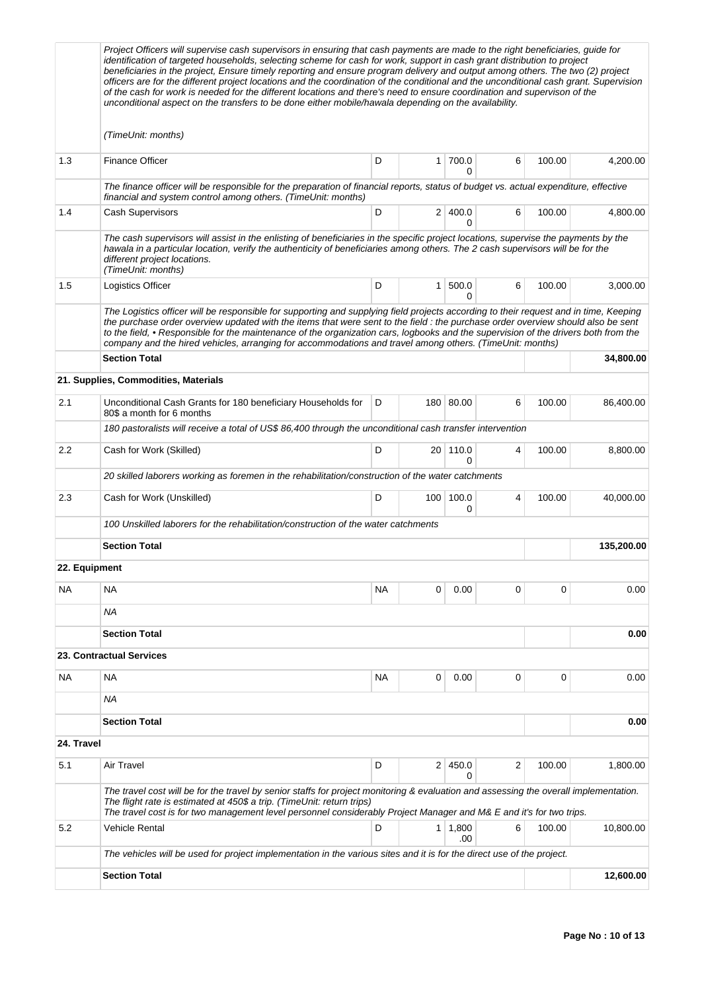|               | Project Officers will supervise cash supervisors in ensuring that cash payments are made to the right beneficiaries, guide for<br>identification of targeted households, selecting scheme for cash for work, support in cash grant distribution to project<br>beneficiaries in the project, Ensure timely reporting and ensure program delivery and output among others. The two (2) project                                                                                                                                 |           |                  |                       |   |          |            |
|---------------|------------------------------------------------------------------------------------------------------------------------------------------------------------------------------------------------------------------------------------------------------------------------------------------------------------------------------------------------------------------------------------------------------------------------------------------------------------------------------------------------------------------------------|-----------|------------------|-----------------------|---|----------|------------|
|               | officers are for the different project locations and the coordination of the conditional and the unconditional cash grant. Supervision<br>of the cash for work is needed for the different locations and there's need to ensure coordination and supervison of the<br>unconditional aspect on the transfers to be done either mobile/hawala depending on the availability.                                                                                                                                                   |           |                  |                       |   |          |            |
|               | (TimeUnit: months)                                                                                                                                                                                                                                                                                                                                                                                                                                                                                                           |           |                  |                       |   |          |            |
| 1.3           | <b>Finance Officer</b>                                                                                                                                                                                                                                                                                                                                                                                                                                                                                                       | D         |                  | 1 700.0<br>0          | 6 | 100.00   | 4,200.00   |
|               | The finance officer will be responsible for the preparation of financial reports, status of budget vs. actual expenditure, effective<br>financial and system control among others. (TimeUnit: months)                                                                                                                                                                                                                                                                                                                        |           |                  |                       |   |          |            |
| 1.4           | <b>Cash Supervisors</b>                                                                                                                                                                                                                                                                                                                                                                                                                                                                                                      | D         |                  | 2 400.0<br>$\Omega$   | 6 | 100.00   | 4,800.00   |
|               | The cash supervisors will assist in the enlisting of beneficiaries in the specific project locations, supervise the payments by the<br>hawala in a particular location, verify the authenticity of beneficiaries among others. The 2 cash supervisors will be for the<br>different project locations.<br>(TimeUnit: months)                                                                                                                                                                                                  |           |                  |                       |   |          |            |
| 1.5           | Logistics Officer                                                                                                                                                                                                                                                                                                                                                                                                                                                                                                            | D         | 1 <sup>1</sup>   | 500.0<br>$\Omega$     | 6 | 100.00   | 3,000.00   |
|               | The Logistics officer will be responsible for supporting and supplying field projects according to their request and in time, Keeping<br>the purchase order overview updated with the items that were sent to the field : the purchase order overview should also be sent<br>to the field, • Responsible for the maintenance of the organization cars, logbooks and the supervision of the drivers both from the<br>company and the hired vehicles, arranging for accommodations and travel among others. (TimeUnit: months) |           |                  |                       |   |          |            |
|               | <b>Section Total</b>                                                                                                                                                                                                                                                                                                                                                                                                                                                                                                         |           |                  |                       |   |          | 34,800.00  |
|               | 21. Supplies, Commodities, Materials                                                                                                                                                                                                                                                                                                                                                                                                                                                                                         |           |                  |                       |   |          |            |
| 2.1           | Unconditional Cash Grants for 180 beneficiary Households for<br>80\$ a month for 6 months                                                                                                                                                                                                                                                                                                                                                                                                                                    | D         |                  | 180 80.00             | 6 | 100.00   | 86,400.00  |
|               | 180 pastoralists will receive a total of US\$ 86,400 through the unconditional cash transfer intervention                                                                                                                                                                                                                                                                                                                                                                                                                    |           |                  |                       |   |          |            |
| $2.2\,$       | Cash for Work (Skilled)                                                                                                                                                                                                                                                                                                                                                                                                                                                                                                      | D         |                  | 20 110.0<br>$\Omega$  | 4 | 100.00   | 8,800.00   |
|               | 20 skilled laborers working as foremen in the rehabilitation/construction of the water catchments                                                                                                                                                                                                                                                                                                                                                                                                                            |           |                  |                       |   |          |            |
| 2.3           | Cash for Work (Unskilled)                                                                                                                                                                                                                                                                                                                                                                                                                                                                                                    | D         | 100 <sup>1</sup> | 100.0<br>0            | 4 | 100.00   | 40,000.00  |
|               | 100 Unskilled laborers for the rehabilitation/construction of the water catchments                                                                                                                                                                                                                                                                                                                                                                                                                                           |           |                  |                       |   |          |            |
|               | <b>Section Total</b>                                                                                                                                                                                                                                                                                                                                                                                                                                                                                                         |           |                  |                       |   |          | 135,200.00 |
| 22. Equipment |                                                                                                                                                                                                                                                                                                                                                                                                                                                                                                                              |           |                  |                       |   |          |            |
| ΝA            | <b>NA</b>                                                                                                                                                                                                                                                                                                                                                                                                                                                                                                                    | <b>NA</b> | 0                | 0.00                  | 0 | $\Omega$ | 0.00       |
|               | ΝA                                                                                                                                                                                                                                                                                                                                                                                                                                                                                                                           |           |                  |                       |   |          |            |
|               | <b>Section Total</b>                                                                                                                                                                                                                                                                                                                                                                                                                                                                                                         |           |                  |                       |   |          | 0.00       |
|               | 23. Contractual Services                                                                                                                                                                                                                                                                                                                                                                                                                                                                                                     |           |                  |                       |   |          |            |
| NA            | <b>NA</b>                                                                                                                                                                                                                                                                                                                                                                                                                                                                                                                    | <b>NA</b> | 0                | 0.00                  | 0 | 0        | 0.00       |
|               | ΝA                                                                                                                                                                                                                                                                                                                                                                                                                                                                                                                           |           |                  |                       |   |          |            |
|               | <b>Section Total</b>                                                                                                                                                                                                                                                                                                                                                                                                                                                                                                         |           |                  |                       |   |          | 0.00       |
| 24. Travel    |                                                                                                                                                                                                                                                                                                                                                                                                                                                                                                                              |           |                  |                       |   |          |            |
| 5.1           | Air Travel                                                                                                                                                                                                                                                                                                                                                                                                                                                                                                                   | D         |                  | 2 450.0<br>0          | 2 | 100.00   | 1,800.00   |
|               | The travel cost will be for the travel by senior staffs for project monitoring & evaluation and assessing the overall implementation.<br>The flight rate is estimated at 450\$ a trip. (TimeUnit: return trips)<br>The travel cost is for two management level personnel considerably Project Manager and M& E and it's for two trips.                                                                                                                                                                                       |           |                  |                       |   |          |            |
| 5.2           | <b>Vehicle Rental</b>                                                                                                                                                                                                                                                                                                                                                                                                                                                                                                        | D         |                  | $1 \mid 1,800$<br>.00 | 6 | 100.00   | 10,800.00  |
|               | The vehicles will be used for project implementation in the various sites and it is for the direct use of the project.                                                                                                                                                                                                                                                                                                                                                                                                       |           |                  |                       |   |          |            |
|               | <b>Section Total</b>                                                                                                                                                                                                                                                                                                                                                                                                                                                                                                         |           |                  |                       |   |          | 12,600.00  |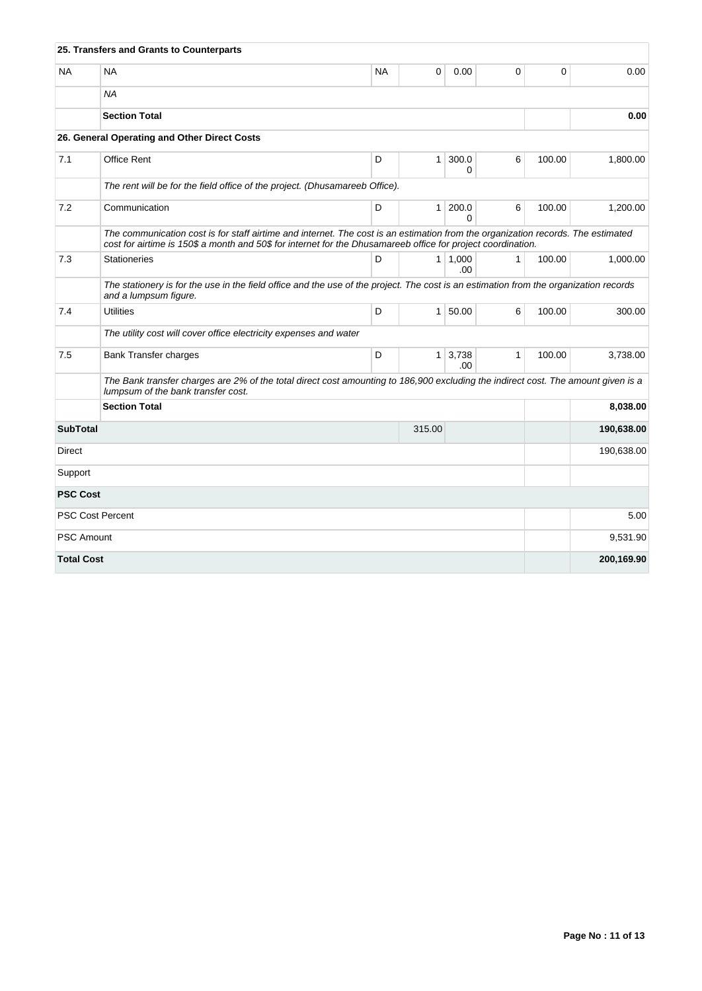|                   | 25. Transfers and Grants to Counterparts                                                                                                                                                                                                         |           |                |                              |              |             |            |
|-------------------|--------------------------------------------------------------------------------------------------------------------------------------------------------------------------------------------------------------------------------------------------|-----------|----------------|------------------------------|--------------|-------------|------------|
| <b>NA</b>         | <b>NA</b>                                                                                                                                                                                                                                        | <b>NA</b> | 0              | 0.00                         | 0            | $\mathbf 0$ | 0.00       |
|                   | <b>NA</b>                                                                                                                                                                                                                                        |           |                |                              |              |             |            |
|                   | <b>Section Total</b>                                                                                                                                                                                                                             |           | 0.00           |                              |              |             |            |
|                   | 26. General Operating and Other Direct Costs                                                                                                                                                                                                     |           |                |                              |              |             |            |
| 7.1               | Office Rent                                                                                                                                                                                                                                      | D         | 1              | 300.0<br>0                   | 6            | 100.00      | 1,800.00   |
|                   | The rent will be for the field office of the project. (Dhusamareeb Office).                                                                                                                                                                      |           |                |                              |              |             |            |
| 7.2               | Communication                                                                                                                                                                                                                                    | D         | 1 <sup>1</sup> | 200.0<br>0                   | 6            | 100.00      | 1,200.00   |
|                   | The communication cost is for staff airtime and internet. The cost is an estimation from the organization records. The estimated<br>cost for airtime is 150\$ a month and 50\$ for internet for the Dhusamareeb office for project coordination. |           |                |                              |              |             |            |
| 7.3               | <b>Stationeries</b>                                                                                                                                                                                                                              | D         |                | $1 \mid 1,000$<br>.00        | $\mathbf{1}$ | 100.00      | 1,000.00   |
|                   | The stationery is for the use in the field office and the use of the project. The cost is an estimation from the organization records<br>and a lumpsum figure.                                                                                   |           |                |                              |              |             |            |
| 7.4               | <b>Utilities</b>                                                                                                                                                                                                                                 | D         |                | $1 \, 50.00$                 | 6            | 100.00      | 300.00     |
|                   | The utility cost will cover office electricity expenses and water                                                                                                                                                                                |           |                |                              |              |             |            |
| 7.5               | <b>Bank Transfer charges</b>                                                                                                                                                                                                                     | D         |                | $1 \overline{)3,738}$<br>.00 | 1            | 100.00      | 3,738.00   |
|                   | The Bank transfer charges are 2% of the total direct cost amounting to 186,900 excluding the indirect cost. The amount given is a<br>lumpsum of the bank transfer cost.                                                                          |           |                |                              |              |             |            |
|                   | <b>Section Total</b>                                                                                                                                                                                                                             |           |                |                              |              |             | 8,038.00   |
| <b>SubTotal</b>   |                                                                                                                                                                                                                                                  |           | 315.00         |                              |              |             | 190,638.00 |
| <b>Direct</b>     |                                                                                                                                                                                                                                                  |           |                |                              |              |             | 190,638.00 |
| Support           |                                                                                                                                                                                                                                                  |           |                |                              |              |             |            |
| <b>PSC Cost</b>   |                                                                                                                                                                                                                                                  |           |                |                              |              |             |            |
|                   | <b>PSC Cost Percent</b>                                                                                                                                                                                                                          |           |                |                              |              |             | 5.00       |
| <b>PSC Amount</b> |                                                                                                                                                                                                                                                  |           |                |                              |              |             | 9,531.90   |
| <b>Total Cost</b> |                                                                                                                                                                                                                                                  |           |                |                              |              |             | 200,169.90 |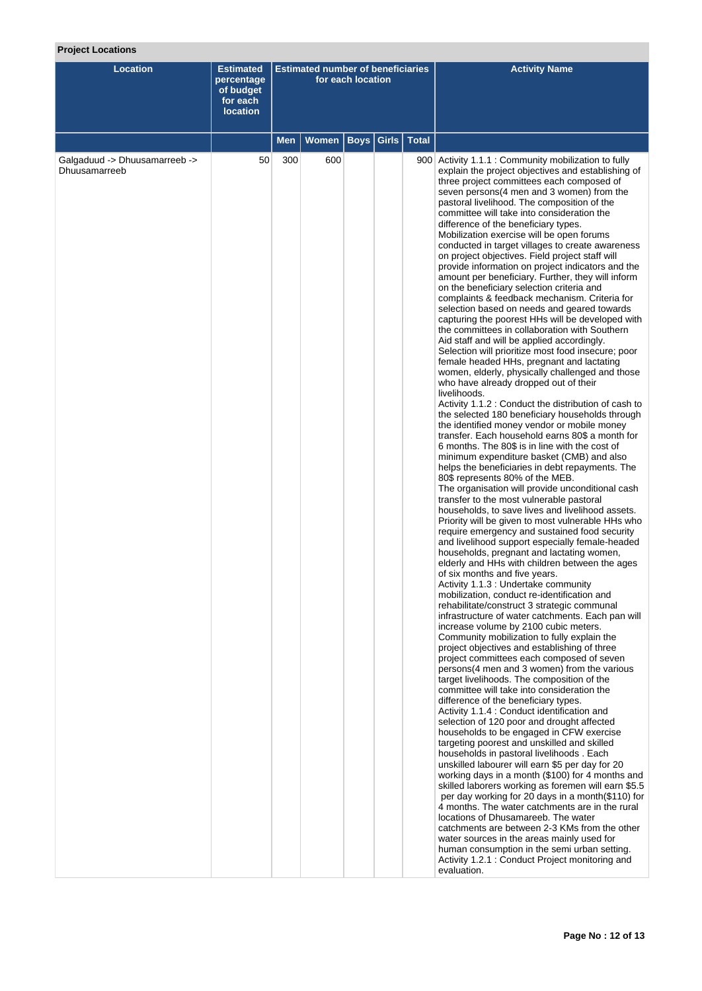# **Project Locations**

| Location                                       | <b>Estimated</b><br>percentage<br>of budget<br>for each<br><b>location</b> | <b>Estimated number of beneficiaries</b><br>for each location |       |      |               | <b>Activity Name</b>                                                                                                                                                                                                                                                                                                                                                                                                                                                                                                                                                                                                                                                                                                                                                                                                                                                                                                                                                                                                                                                                                                                                                                                                                                                                                                                                                                                                                                                                                                                                                                                                                                                                                                                                                                                                                                                                                                                                                                                                                                                                                                                                                                                                                                                                                                                                                                                                                                                                                                                                                                                                                                                                                                                                                                                                                                                                                                                                                                                                                                                                                                                                                                                                                                                                         |
|------------------------------------------------|----------------------------------------------------------------------------|---------------------------------------------------------------|-------|------|---------------|----------------------------------------------------------------------------------------------------------------------------------------------------------------------------------------------------------------------------------------------------------------------------------------------------------------------------------------------------------------------------------------------------------------------------------------------------------------------------------------------------------------------------------------------------------------------------------------------------------------------------------------------------------------------------------------------------------------------------------------------------------------------------------------------------------------------------------------------------------------------------------------------------------------------------------------------------------------------------------------------------------------------------------------------------------------------------------------------------------------------------------------------------------------------------------------------------------------------------------------------------------------------------------------------------------------------------------------------------------------------------------------------------------------------------------------------------------------------------------------------------------------------------------------------------------------------------------------------------------------------------------------------------------------------------------------------------------------------------------------------------------------------------------------------------------------------------------------------------------------------------------------------------------------------------------------------------------------------------------------------------------------------------------------------------------------------------------------------------------------------------------------------------------------------------------------------------------------------------------------------------------------------------------------------------------------------------------------------------------------------------------------------------------------------------------------------------------------------------------------------------------------------------------------------------------------------------------------------------------------------------------------------------------------------------------------------------------------------------------------------------------------------------------------------------------------------------------------------------------------------------------------------------------------------------------------------------------------------------------------------------------------------------------------------------------------------------------------------------------------------------------------------------------------------------------------------------------------------------------------------------------------------------------------------|
|                                                |                                                                            | Men                                                           | Women | Boys | Girls   Total |                                                                                                                                                                                                                                                                                                                                                                                                                                                                                                                                                                                                                                                                                                                                                                                                                                                                                                                                                                                                                                                                                                                                                                                                                                                                                                                                                                                                                                                                                                                                                                                                                                                                                                                                                                                                                                                                                                                                                                                                                                                                                                                                                                                                                                                                                                                                                                                                                                                                                                                                                                                                                                                                                                                                                                                                                                                                                                                                                                                                                                                                                                                                                                                                                                                                                              |
| Galgaduud -> Dhuusamarreeb -><br>Dhuusamarreeb | 50                                                                         | 300                                                           | 600   |      |               | 900 Activity 1.1.1 : Community mobilization to fully<br>explain the project objectives and establishing of<br>three project committees each composed of<br>seven persons(4 men and 3 women) from the<br>pastoral livelihood. The composition of the<br>committee will take into consideration the<br>difference of the beneficiary types.<br>Mobilization exercise will be open forums<br>conducted in target villages to create awareness<br>on project objectives. Field project staff will<br>provide information on project indicators and the<br>amount per beneficiary. Further, they will inform<br>on the beneficiary selection criteria and<br>complaints & feedback mechanism. Criteria for<br>selection based on needs and geared towards<br>capturing the poorest HHs will be developed with<br>the committees in collaboration with Southern<br>Aid staff and will be applied accordingly.<br>Selection will prioritize most food insecure; poor<br>female headed HHs, pregnant and lactating<br>women, elderly, physically challenged and those<br>who have already dropped out of their<br>livelihoods.<br>Activity 1.1.2 : Conduct the distribution of cash to<br>the selected 180 beneficiary households through<br>the identified money vendor or mobile money<br>transfer. Each household earns 80\$ a month for<br>6 months. The 80\$ is in line with the cost of<br>minimum expenditure basket (CMB) and also<br>helps the beneficiaries in debt repayments. The<br>80\$ represents 80% of the MEB.<br>The organisation will provide unconditional cash<br>transfer to the most vulnerable pastoral<br>households, to save lives and livelihood assets.<br>Priority will be given to most vulnerable HHs who<br>require emergency and sustained food security<br>and livelihood support especially female-headed<br>households, pregnant and lactating women,<br>elderly and HHs with children between the ages<br>of six months and five years.<br>Activity 1.1.3 : Undertake community<br>mobilization, conduct re-identification and<br>rehabilitate/construct 3 strategic communal<br>infrastructure of water catchments. Each pan will<br>increase volume by 2100 cubic meters.<br>Community mobilization to fully explain the<br>project objectives and establishing of three<br>project committees each composed of seven<br>persons(4 men and 3 women) from the various<br>target livelihoods. The composition of the<br>committee will take into consideration the<br>difference of the beneficiary types.<br>Activity 1.1.4 : Conduct identification and<br>selection of 120 poor and drought affected<br>households to be engaged in CFW exercise<br>targeting poorest and unskilled and skilled<br>households in pastoral livelihoods . Each<br>unskilled labourer will earn \$5 per day for 20<br>working days in a month (\$100) for 4 months and<br>skilled laborers working as foremen will earn \$5.5<br>per day working for 20 days in a month(\$110) for<br>4 months. The water catchments are in the rural<br>locations of Dhusamareeb. The water<br>catchments are between 2-3 KMs from the other<br>water sources in the areas mainly used for<br>human consumption in the semi urban setting.<br>Activity 1.2.1 : Conduct Project monitoring and |